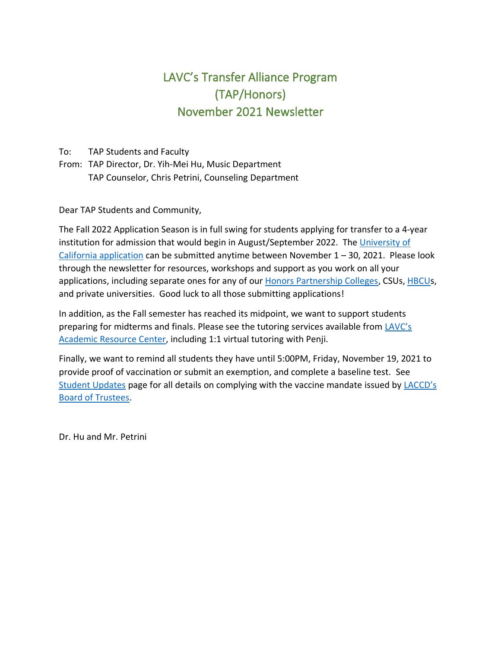# LAVC's Transfer Alliance Program (TAP/Honors) November 2021 Newsletter

To: TAP Students and Faculty

From: TAP Director, Dr. Yih-Mei Hu, Music Department TAP Counselor, Chris Petrini, Counseling Department

Dear TAP Students and Community,

The Fall 2022 Application Season is in full swing for students applying for transfer to a 4-year institution for admission that would begin in August/September 2022. The [University of](https://admission.universityofcalifornia.edu/how-to-apply/applying-as-a-transfer/)  [California application](https://admission.universityofcalifornia.edu/how-to-apply/applying-as-a-transfer/) can be submitted anytime between November 1 – 30, 2021. Please look through the newsletter for resources, workshops and support as you work on all your applications, including separate ones for any of our [Honors Partnership Colleges,](https://www.honorstransfercouncil.org/transfer-partners) CSUs[, HBCUs](https://www.californiacommunitycollegehbcutransfer.com/), and private universities. Good luck to all those submitting applications!

In addition, as the Fall semester has reached its midpoint, we want to support students preparing for midterms and finals. Please see the tutoring services available from [LAVC's](https://www.lavc.edu/Academic-Resource-Center/ARC-Home.aspx)  [Academic Resource Center,](https://www.lavc.edu/Academic-Resource-Center/ARC-Home.aspx) including 1:1 virtual tutoring with Penji.

Finally, we want to remind all students they have until 5:00PM, Friday, November 19, 2021 to provide proof of vaccination or submit an exemption, and complete a baseline test. See [Student Updates](https://lavc.edu/Coronavirus/Student-Updates.aspx) page for all details on complying with the vaccine mandate issued by [LACCD's](https://go.boarddocs.com/ca/laccd/Board.nsf/goto?open&id=C5LNZX625E89)  [Board of Trustees.](https://go.boarddocs.com/ca/laccd/Board.nsf/goto?open&id=C5LNZX625E89)

Dr. Hu and Mr. Petrini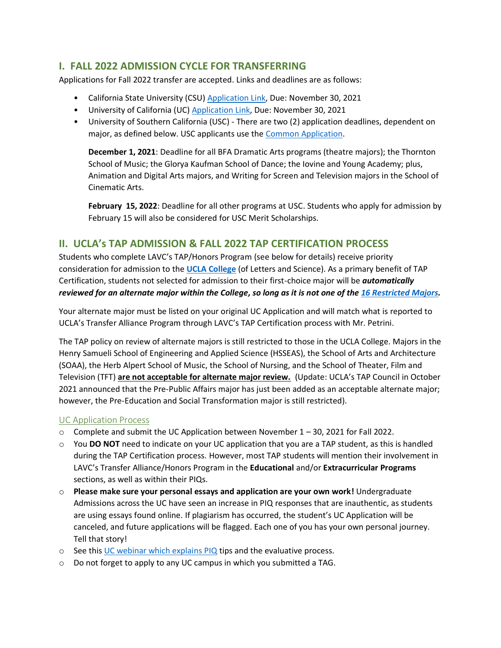## **I. FALL 2022 ADMISSION CYCLE FOR TRANSFERRING**

Applications for Fall 2022 transfer are accepted. Links and deadlines are as follows:

- California State University (CSU[\) Application Link,](https://www.calstate.edu/apply/transfer) Due: November 30, 2021
- University of California (UC) **Application Link**, Due: November 30, 2021
- University of Southern California (USC) There are two (2) application deadlines, dependent on major, as defined below. USC applicants use the [Common Application.](https://apply.transfer.commonapp.org/applicant-ux/#/login)

**December 1, 2021**: Deadline for all BFA Dramatic Arts programs (theatre majors); the Thornton School of Music; the Glorya Kaufman School of Dance; the Iovine and Young Academy; plus, Animation and Digital Arts majors, and Writing for Screen and Television majors in the School of Cinematic Arts.

**February 15, 2022**: Deadline for all other programs at USC. Students who apply for admission by February 15 will also be considered for USC Merit Scholarships.

## **II. UCLA's TAP ADMISSION & FALL 2022 TAP CERTIFICATION PROCESS**

Students who complete LAVC's TAP/Honors Program (see below for details) receive priority consideration for admission to the **[UCLA College](https://www.college.ucla.edu/the-college/)** (of Letters and Science). As a primary benefit of TAP Certification, students not selected for admission to their first-choice major will be *automatically reviewed for an alternate major within the College, so long as it is not one of the [16 Restricted Majors.](https://admission.ucla.edu/apply/transfer/ucla-transfer-alliance-program)*

Your alternate major must be listed on your original UC Application and will match what is reported to UCLA's Transfer Alliance Program through LAVC's TAP Certification process with Mr. Petrini.

The TAP policy on review of alternate majors is still restricted to those in the UCLA College. Majors in the Henry Samueli School of Engineering and Applied Science (HSSEAS), the School of Arts and Architecture (SOAA), the Herb Alpert School of Music, the School of Nursing, and the School of Theater, Film and Television (TFT) **are not acceptable for alternate major review.** (Update: UCLA's TAP Council in October 2021 announced that the Pre-Public Affairs major has just been added as an acceptable alternate major; however, the Pre-Education and Social Transformation major is still restricted).

#### UC Application Process

- $\circ$  Complete and submit the UC Application between November 1 30, 2021 for Fall 2022.
- o You **DO NOT** need to indicate on your UC application that you are a TAP student, as this is handled during the TAP Certification process. However, most TAP students will mention their involvement in LAVC's Transfer Alliance/Honors Program in the **Educational** and/or **Extracurricular Programs** sections, as well as within their PIQs.
- o **Please make sure your personal essays and application are your own work!** Undergraduate Admissions across the UC have seen an increase in PIQ responses that are inauthentic, as students are using essays found online. If plagiarism has occurred, the student's UC Application will be canceled, and future applications will be flagged. Each one of you has your own personal journey. Tell that story!
- o See this [UC webinar which explains](https://ucop.app.box.com/s/51toees6tp2ubiwqmpp074vhzo3xwfyu/file/872800050880) PIQ tips and the evaluative process.
- o Do not forget to apply to any UC campus in which you submitted a TAG.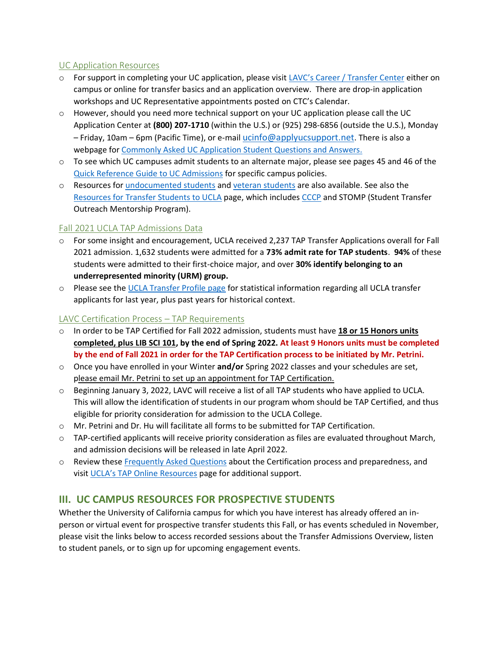#### UC Application Resources

- o For support in completing your UC application, please visit [LAVC's Career / Transfer Center](https://lavc.edu/transfer/index.aspx) either on campus or online for transfer basics and an application overview. There are drop-in application workshops and UC Representative appointments posted on CTC's Calendar.
- o However, should you need more technical support on your UC application please call the UC Application Center at **(800) 207-1710** (within the U.S.) or (925) 298-6856 (outside the U.S.), Monday  $-$  Friday, 10am – 6pm (Pacific Time), or e-mail [ucinfo@applyucsupport.net](mailto:ucinfo@applyucsupport.net). There is also a webpage for [Commonly Asked UC Application](https://admissions.universityofcalifornia.edu/docs/html/caq.html#CAQ_1) Student Questions and Answers.
- o To see which UC campuses admit students to an alternate major, please see pages 45 and 46 of the [Quick Reference Guide to UC Admissions](https://admission.universityofcalifornia.edu/counselors/files/quick-reference.pdf) for specific campus policies.
- o Resources for [undocumented students](https://undoc.universityofcalifornia.edu/) and [veteran students](https://veterans.universityofcalifornia.edu/) are also available. See also the [Resources for Transfer Students to UCLA](https://admission.ucla.edu/apply/transfer) page, which includes CCCP and STOMP (Student Transfer Outreach Mentorship Program).

#### Fall 2021 UCLA TAP Admissions Data

- o For some insight and encouragement, UCLA received 2,237 TAP Transfer Applications overall for Fall 2021 admission. 1,632 students were admitted for a **73% admit rate for TAP students**. **94%** of these students were admitted to their first-choice major, and over **30% identify belonging to an underrepresented minority (URM) group.**
- o Please see th[e UCLA Transfer Profile page](https://admission.ucla.edu/apply/transfer/transfer-profile) for statistical information regarding all UCLA transfer applicants for last year, plus past years for historical context.

#### LAVC Certification Process – TAP Requirements

- o In order to be TAP Certified for Fall 2022 admission, students must have **18 or 15 Honors units completed, plus LIB SCI 101, by the end of Spring 2022. At least 9 Honors units must be completed by the end of Fall 2021 in order for the TAP Certification process to be initiated by Mr. Petrini.**
- o Once you have enrolled in your Winter **and/or** Spring 2022 classes and your schedules are set, please email Mr. Petrini to set up an appointment for TAP Certification.
- $\circ$  Beginning January 3, 2022, LAVC will receive a list of all TAP students who have applied to UCLA. This will allow the identification of students in our program whom should be TAP Certified, and thus eligible for priority consideration for admission to the UCLA College.
- o Mr. Petrini and Dr. Hu will facilitate all forms to be submitted for TAP Certification.
- $\circ$  TAP-certified applicants will receive priority consideration as files are evaluated throughout March, and admission decisions will be released in late April 2022.
- o Review these [Frequently Asked Questions](http://tap.ucla.edu/for-students-staff/tap-admission-and-certification-cycle/frequently-asked-questions/) about the Certification process and preparedness, and visit [UCLA's TAP Online Resources](http://tap.ucla.edu/for-students-staff/online-resources/) page for additional support.

## **III. UC CAMPUS RESOURCES FOR PROSPECTIVE STUDENTS**

Whether the University of California campus for which you have interest has already offered an inperson or virtual event for prospective transfer students this Fall, or has events scheduled in November, please visit the links below to access recorded sessions about the Transfer Admissions Overview, listen to student panels, or to sign up for upcoming engagement events.